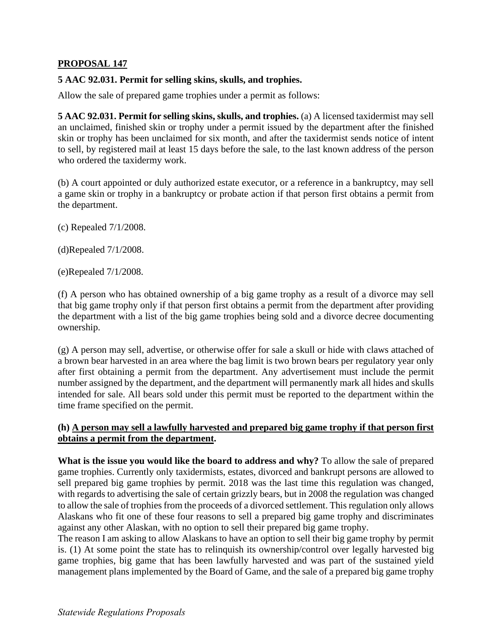## **PROPOSAL 147**

## **5 AAC 92.031. Permit for selling skins, skulls, and trophies.**

Allow the sale of prepared game trophies under a permit as follows:

**5 AAC 92.031. Permit for selling skins, skulls, and trophies.** (a) A licensed taxidermist may sell an unclaimed, finished skin or trophy under a permit issued by the department after the finished skin or trophy has been unclaimed for six month, and after the taxidermist sends notice of intent to sell, by registered mail at least 15 days before the sale, to the last known address of the person who ordered the taxidermy work.

(b) A court appointed or duly authorized estate executor, or a reference in a bankruptcy, may sell a game skin or trophy in a bankruptcy or probate action if that person first obtains a permit from the department.

(c) Repealed 7/1/2008.

(d)Repealed 7/1/2008.

(e)Repealed 7/1/2008.

(f) A person who has obtained ownership of a big game trophy as a result of a divorce may sell that big game trophy only if that person first obtains a permit from the department after providing the department with a list of the big game trophies being sold and a divorce decree documenting ownership.

(g) A person may sell, advertise, or otherwise offer for sale a skull or hide with claws attached of a brown bear harvested in an area where the bag limit is two brown bears per regulatory year only after first obtaining a permit from the department. Any advertisement must include the permit number assigned by the department, and the department will permanently mark all hides and skulls intended for sale. All bears sold under this permit must be reported to the department within the time frame specified on the permit.

## **(h) A person may sell a lawfully harvested and prepared big game trophy if that person first obtains a permit from the department.**

**What is the issue you would like the board to address and why?** To allow the sale of prepared game trophies. Currently only taxidermists, estates, divorced and bankrupt persons are allowed to sell prepared big game trophies by permit. 2018 was the last time this regulation was changed, with regards to advertising the sale of certain grizzly bears, but in 2008 the regulation was changed to allow the sale of trophies from the proceeds of a divorced settlement. This regulation only allows Alaskans who fit one of these four reasons to sell a prepared big game trophy and discriminates against any other Alaskan, with no option to sell their prepared big game trophy.

The reason I am asking to allow Alaskans to have an option to sell their big game trophy by permit is. (1) At some point the state has to relinquish its ownership/control over legally harvested big game trophies, big game that has been lawfully harvested and was part of the sustained yield management plans implemented by the Board of Game, and the sale of a prepared big game trophy